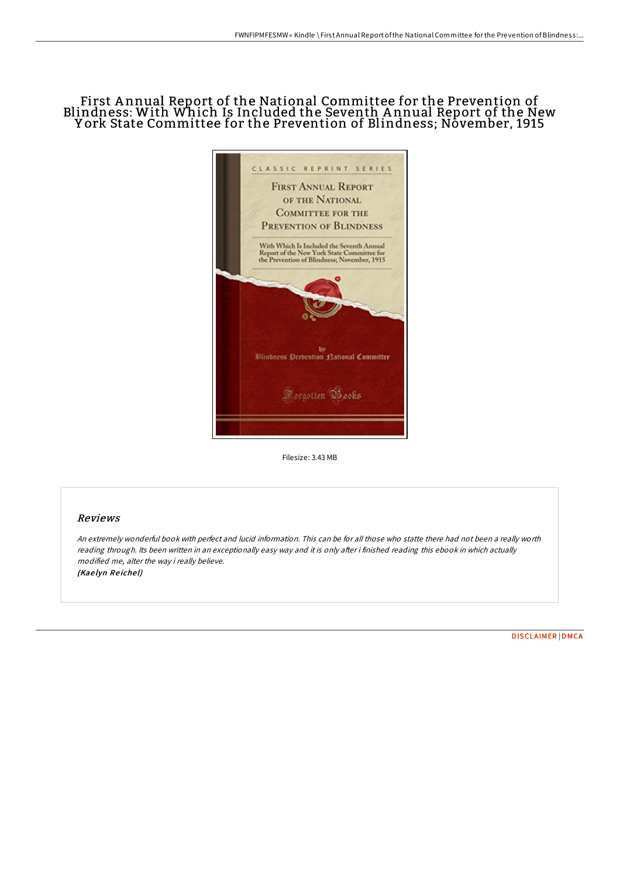## First A nnual Report of the National Committee for the Prevention of Blindness: With Which Is Included the Seventh A nnual Report of the New York State Committee for the Prevention of Blindness; November, 1915



Filesize: 3.43 MB

## Reviews

An extremely wonderful book with perfect and lucid information. This can be for all those who statte there had not been <sup>a</sup> really worth reading through. Its been written in an exceptionally easy way and it is only after i finished reading this ebook in which actually modified me, alter the way i really believe. (Kaelyn Reichel)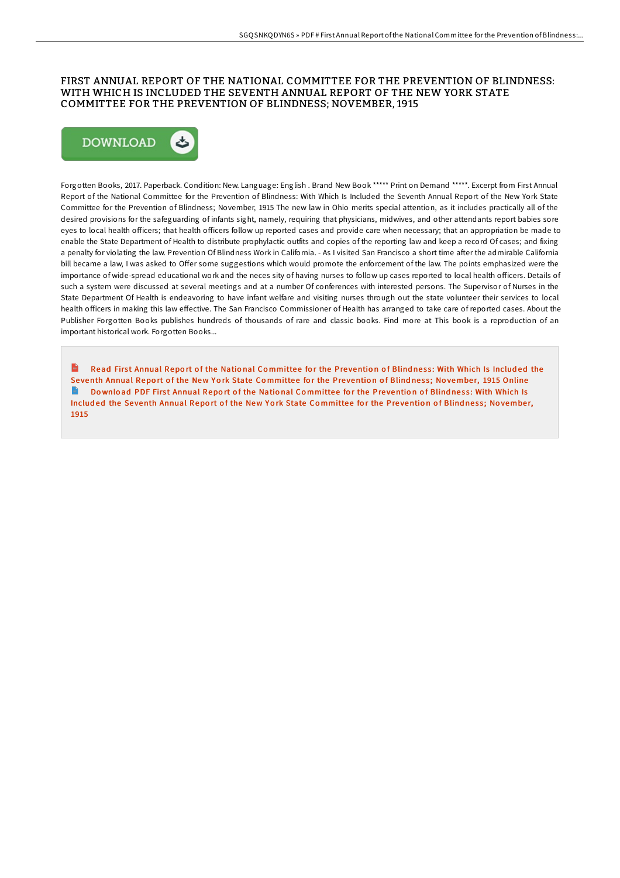## FIRST ANNUAL REPORT OF THE NATIONAL COMMITTEE FOR THE PREVENTION OF BLINDNESS: WITH WHICH IS INCLUDED THE SEVENTH ANNUAL REPORT OF THE NEW YORK STATE COMMITTEE FOR THE PREVENTION OF BLINDNESS; NOVEMBER, 1915



Forgotten Books, 2017. Paperback. Condition: New. Language: English . Brand New Book \*\*\*\*\* Print on Demand \*\*\*\*\*. Excerpt from First Annual Report of the National Committee for the Prevention of Blindness: With Which Is Included the Seventh Annual Report of the New York State Committee for the Prevention of Blindness; November, 1915 The new law in Ohio merits special attention, as it includes practically all of the desired provisions for the safeguarding of infants sight, namely, requiring that physicians, midwives, and other attendants report babies sore eyes to local health officers; that health officers follow up reported cases and provide care when necessary; that an appropriation be made to enable the State Department of Health to distribute prophylactic outfits and copies of the reporting law and keep a record Of cases; and fixing a penalty for violating the law. Prevention Of Blindness Work in California. - As I visited San Francisco a short time after the admirable California bill became a law, I was asked to Offer some suggestions which would promote the enforcement of the law. The points emphasized were the importance of wide-spread educational work and the neces sity of having nurses to follow up cases reported to local health officers. Details of such a system were discussed at several meetings and at a number Of conferences with interested persons. The Supervisor of Nurses in the State Department Of Health is endeavoring to have infant welfare and visiting nurses through out the state volunteer their services to local health officers in making this law effective. The San Francisco Commissioner of Health has arranged to take care of reported cases. About the Publisher Forgotten Books publishes hundreds of thousands of rare and classic books. Find more at This book is a reproduction of an important historical work. Forgotten Books...

Read First Annual Report of the National Co[mmitte](http://almighty24.tech/first-annual-report-of-the-national-committee-fo.html)e for the Prevention of Blindness: With Which Is Included the Seventh Annual Report of the New York State Committee for the Prevention of Blindness; November, 1915 Online  $\blacksquare$ Download PDF First Annual Report of the National Co[mmitte](http://almighty24.tech/first-annual-report-of-the-national-committee-fo.html)e for the Prevention of Blindness: With Which Is Included the Seventh Annual Report of the New York State Committee for the Prevention of Blindness; November, 1915